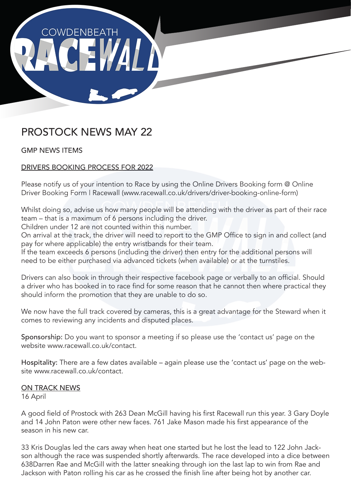

# PROSTOCK NEWS MAY 22

GMP NEWS ITEMS

## DRIVERS BOOKING PROCESS FOR 2022

Please notify us of your intention to Race by using the Online Drivers Booking form @ Online Driver Booking Form | Racewall (www.racewall.co.uk/drivers/driver-booking-online-form)

Whilst doing so, advise us how many people will be attending with the driver as part of their race team – that is a maximum of 6 persons including the driver.

Children under 12 are not counted within this number.

On arrival at the track, the driver will need to report to the GMP Office to sign in and collect (and pay for where applicable) the entry wristbands for their team.

If the team exceeds 6 persons (including the driver) then entry for the additional persons will need to be either purchased via advanced tickets (when available) or at the turnstiles.

Drivers can also book in through their respective facebook page or verbally to an official. Should a driver who has booked in to race find for some reason that he cannot then where practical they should inform the promotion that they are unable to do so.

We now have the full track covered by cameras, this is a great advantage for the Steward when it comes to reviewing any incidents and disputed places.

Sponsorship: Do you want to sponsor a meeting if so please use the 'contact us' page on the website www.racewall.co.uk/contact.

Hospitality: There are a few dates available – again please use the 'contact us' page on the website www.racewall.co.uk/contact

## ON TRACK NEWS

16 April

A good field of Prostock with 263 Dean McGill having his first Racewall run this year. 3 Gary Doyle and 14 John Paton were other new faces. 761 Jake Mason made his first appearance of the season in his new car.

33 Kris Douglas led the cars away when heat one started but he lost the lead to 122 John Jackson although the race was suspended shortly afterwards. The race developed into a dice between 638Darren Rae and McGill with the latter sneaking through ion the last lap to win from Rae and Jackson with Paton rolling his car as he crossed the finish line after being hot by another car.